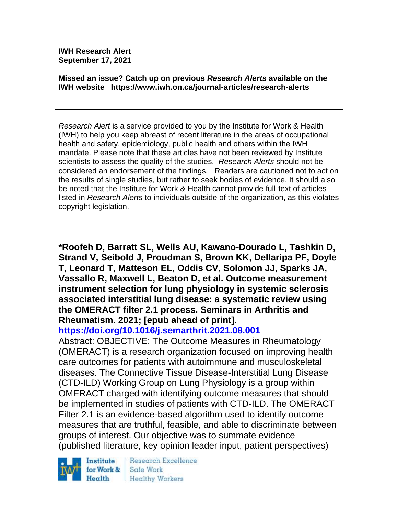**IWH Research Alert September 17, 2021**

#### **Missed an issue? Catch up on previous** *Research Alerts* **available on the [IWH website](http://www.iwh.on.ca/research-alerts) <https://www.iwh.on.ca/journal-articles/research-alerts>**

*Research Alert* is a service provided to you by the Institute for Work & Health (IWH) to help you keep abreast of recent literature in the areas of occupational health and safety, epidemiology, public health and others within the IWH mandate. Please note that these articles have not been reviewed by Institute scientists to assess the quality of the studies. *Research Alerts* should not be considered an endorsement of the findings. Readers are cautioned not to act on the results of single studies, but rather to seek bodies of evidence. It should also be noted that the Institute for Work & Health cannot provide full-text of articles listed in *Research Alerts* to individuals outside of the organization, as this violates copyright legislation.

**\*Roofeh D, Barratt SL, Wells AU, Kawano-Dourado L, Tashkin D, Strand V, Seibold J, Proudman S, Brown KK, Dellaripa PF, Doyle T, Leonard T, Matteson EL, Oddis CV, Solomon JJ, Sparks JA, Vassallo R, Maxwell L, Beaton D, et al. Outcome measurement instrument selection for lung physiology in systemic sclerosis associated interstitial lung disease: a systematic review using the OMERACT filter 2.1 process. Seminars in Arthritis and Rheumatism. 2021; [epub ahead of print].**

**<https://doi.org/10.1016/j.semarthrit.2021.08.001>** 

Abstract: OBJECTIVE: The Outcome Measures in Rheumatology (OMERACT) is a research organization focused on improving health care outcomes for patients with autoimmune and musculoskeletal diseases. The Connective Tissue Disease-Interstitial Lung Disease (CTD-ILD) Working Group on Lung Physiology is a group within OMERACT charged with identifying outcome measures that should be implemented in studies of patients with CTD-ILD. The OMERACT Filter 2.1 is an evidence-based algorithm used to identify outcome measures that are truthful, feasible, and able to discriminate between groups of interest. Our objective was to summate evidence (published literature, key opinion leader input, patient perspectives)

Institute for Work & Health

**Research Excellence** Safe Work **Healthy Workers**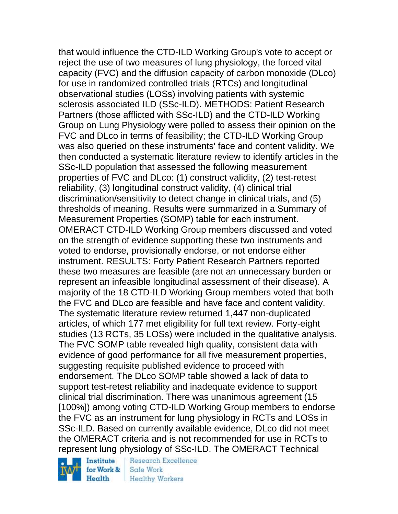that would influence the CTD-ILD Working Group's vote to accept or reject the use of two measures of lung physiology, the forced vital capacity (FVC) and the diffusion capacity of carbon monoxide (DLco) for use in randomized controlled trials (RTCs) and longitudinal observational studies (LOSs) involving patients with systemic sclerosis associated ILD (SSc-ILD). METHODS: Patient Research Partners (those afflicted with SSc-ILD) and the CTD-ILD Working Group on Lung Physiology were polled to assess their opinion on the FVC and DLco in terms of feasibility; the CTD-ILD Working Group was also queried on these instruments' face and content validity. We then conducted a systematic literature review to identify articles in the SSc-ILD population that assessed the following measurement properties of FVC and DLco: (1) construct validity, (2) test-retest reliability, (3) longitudinal construct validity, (4) clinical trial discrimination/sensitivity to detect change in clinical trials, and (5) thresholds of meaning. Results were summarized in a Summary of Measurement Properties (SOMP) table for each instrument. OMERACT CTD-ILD Working Group members discussed and voted on the strength of evidence supporting these two instruments and voted to endorse, provisionally endorse, or not endorse either instrument. RESULTS: Forty Patient Research Partners reported these two measures are feasible (are not an unnecessary burden or represent an infeasible longitudinal assessment of their disease). A majority of the 18 CTD-ILD Working Group members voted that both the FVC and DLco are feasible and have face and content validity. The systematic literature review returned 1,447 non-duplicated articles, of which 177 met eligibility for full text review. Forty-eight studies (13 RCTs, 35 LOSs) were included in the qualitative analysis. The FVC SOMP table revealed high quality, consistent data with evidence of good performance for all five measurement properties, suggesting requisite published evidence to proceed with endorsement. The DLco SOMP table showed a lack of data to support test-retest reliability and inadequate evidence to support clinical trial discrimination. There was unanimous agreement (15 [100%]) among voting CTD-ILD Working Group members to endorse the FVC as an instrument for lung physiology in RCTs and LOSs in SSc-ILD. Based on currently available evidence, DLco did not meet the OMERACT criteria and is not recommended for use in RCTs to represent lung physiology of SSc-ILD. The OMERACT Technical

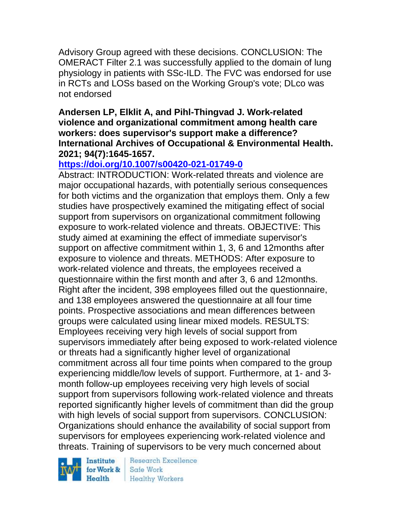Advisory Group agreed with these decisions. CONCLUSION: The OMERACT Filter 2.1 was successfully applied to the domain of lung physiology in patients with SSc-ILD. The FVC was endorsed for use in RCTs and LOSs based on the Working Group's vote; DLco was not endorsed

### **Andersen LP, Elklit A, and Pihl-Thingvad J. Work-related violence and organizational commitment among health care workers: does supervisor's support make a difference? International Archives of Occupational & Environmental Health. 2021; 94(7):1645-1657.**

# **<https://doi.org/10.1007/s00420-021-01749-0>**

Abstract: INTRODUCTION: Work-related threats and violence are major occupational hazards, with potentially serious consequences for both victims and the organization that employs them. Only a few studies have prospectively examined the mitigating effect of social support from supervisors on organizational commitment following exposure to work-related violence and threats. OBJECTIVE: This study aimed at examining the effect of immediate supervisor's support on affective commitment within 1, 3, 6 and 12months after exposure to violence and threats. METHODS: After exposure to work-related violence and threats, the employees received a questionnaire within the first month and after 3, 6 and 12months. Right after the incident, 398 employees filled out the questionnaire, and 138 employees answered the questionnaire at all four time points. Prospective associations and mean differences between groups were calculated using linear mixed models. RESULTS: Employees receiving very high levels of social support from supervisors immediately after being exposed to work-related violence or threats had a significantly higher level of organizational commitment across all four time points when compared to the group experiencing middle/low levels of support. Furthermore, at 1- and 3 month follow-up employees receiving very high levels of social support from supervisors following work-related violence and threats reported significantly higher levels of commitment than did the group with high levels of social support from supervisors. CONCLUSION: Organizations should enhance the availability of social support from supervisors for employees experiencing work-related violence and threats. Training of supervisors to be very much concerned about

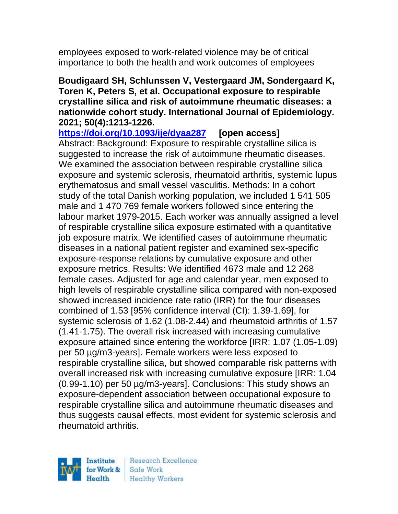employees exposed to work-related violence may be of critical importance to both the health and work outcomes of employees

## **Boudigaard SH, Schlunssen V, Vestergaard JM, Sondergaard K, Toren K, Peters S, et al. Occupational exposure to respirable crystalline silica and risk of autoimmune rheumatic diseases: a nationwide cohort study. International Journal of Epidemiology. 2021; 50(4):1213-1226.**

**<https://doi.org/10.1093/ije/dyaa287> [open access]**

Abstract: Background: Exposure to respirable crystalline silica is suggested to increase the risk of autoimmune rheumatic diseases. We examined the association between respirable crystalline silica exposure and systemic sclerosis, rheumatoid arthritis, systemic lupus erythematosus and small vessel vasculitis. Methods: In a cohort study of the total Danish working population, we included 1 541 505 male and 1 470 769 female workers followed since entering the labour market 1979-2015. Each worker was annually assigned a level of respirable crystalline silica exposure estimated with a quantitative job exposure matrix. We identified cases of autoimmune rheumatic diseases in a national patient register and examined sex-specific exposure-response relations by cumulative exposure and other exposure metrics. Results: We identified 4673 male and 12 268 female cases. Adjusted for age and calendar year, men exposed to high levels of respirable crystalline silica compared with non-exposed showed increased incidence rate ratio (IRR) for the four diseases combined of 1.53 [95% confidence interval (CI): 1.39-1.69], for systemic sclerosis of 1.62 (1.08-2.44) and rheumatoid arthritis of 1.57 (1.41-1.75). The overall risk increased with increasing cumulative exposure attained since entering the workforce [IRR: 1.07 (1.05-1.09) per 50 µg/m3-years]. Female workers were less exposed to respirable crystalline silica, but showed comparable risk patterns with overall increased risk with increasing cumulative exposure [IRR: 1.04 (0.99-1.10) per 50 µg/m3-years]. Conclusions: This study shows an exposure-dependent association between occupational exposure to respirable crystalline silica and autoimmune rheumatic diseases and thus suggests causal effects, most evident for systemic sclerosis and rheumatoid arthritis.

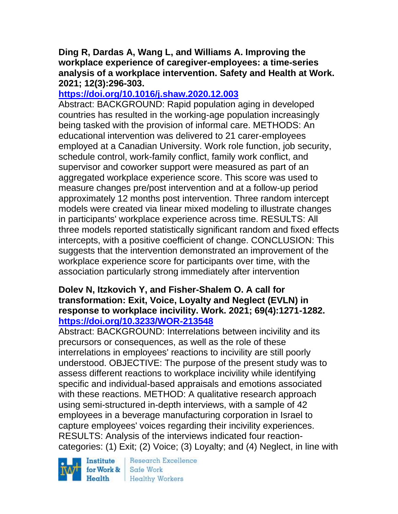## **Ding R, Dardas A, Wang L, and Williams A. Improving the workplace experience of caregiver-employees: a time-series analysis of a workplace intervention. Safety and Health at Work. 2021; 12(3):296-303.**

## **<https://doi.org/10.1016/j.shaw.2020.12.003>**

Abstract: BACKGROUND: Rapid population aging in developed countries has resulted in the working-age population increasingly being tasked with the provision of informal care. METHODS: An educational intervention was delivered to 21 carer-employees employed at a Canadian University. Work role function, job security, schedule control, work-family conflict, family work conflict, and supervisor and coworker support were measured as part of an aggregated workplace experience score. This score was used to measure changes pre/post intervention and at a follow-up period approximately 12 months post intervention. Three random intercept models were created via linear mixed modeling to illustrate changes in participants' workplace experience across time. RESULTS: All three models reported statistically significant random and fixed effects intercepts, with a positive coefficient of change. CONCLUSION: This suggests that the intervention demonstrated an improvement of the workplace experience score for participants over time, with the association particularly strong immediately after intervention

## **Dolev N, Itzkovich Y, and Fisher-Shalem O. A call for transformation: Exit, Voice, Loyalty and Neglect (EVLN) in response to workplace incivility. Work. 2021; 69(4):1271-1282. <https://doi.org/10.3233/WOR-213548>**

Abstract: BACKGROUND: Interrelations between incivility and its precursors or consequences, as well as the role of these interrelations in employees' reactions to incivility are still poorly understood. OBJECTIVE: The purpose of the present study was to assess different reactions to workplace incivility while identifying specific and individual-based appraisals and emotions associated with these reactions. METHOD: A qualitative research approach using semi-structured in-depth interviews, with a sample of 42 employees in a beverage manufacturing corporation in Israel to capture employees' voices regarding their incivility experiences. RESULTS: Analysis of the interviews indicated four reactioncategories: (1) Exit; (2) Voice; (3) Loyalty; and (4) Neglect, in line with

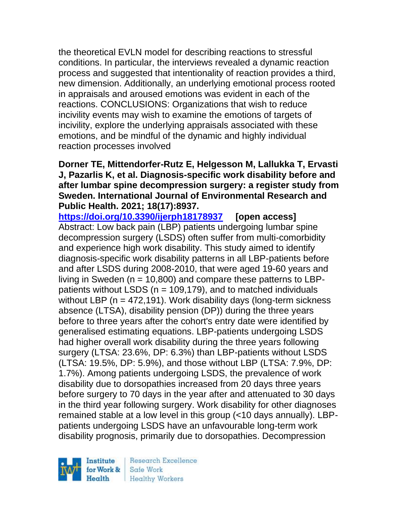the theoretical EVLN model for describing reactions to stressful conditions. In particular, the interviews revealed a dynamic reaction process and suggested that intentionality of reaction provides a third, new dimension. Additionally, an underlying emotional process rooted in appraisals and aroused emotions was evident in each of the reactions. CONCLUSIONS: Organizations that wish to reduce incivility events may wish to examine the emotions of targets of incivility, explore the underlying appraisals associated with these emotions, and be mindful of the dynamic and highly individual reaction processes involved

## **Dorner TE, Mittendorfer-Rutz E, Helgesson M, Lallukka T, Ervasti J, Pazarlis K, et al. Diagnosis-specific work disability before and after lumbar spine decompression surgery: a register study from Sweden. International Journal of Environmental Research and Public Health. 2021; 18(17):8937.**

**<https://doi.org/10.3390/ijerph18178937> [open access]** Abstract: Low back pain (LBP) patients undergoing lumbar spine decompression surgery (LSDS) often suffer from multi-comorbidity and experience high work disability. This study aimed to identify diagnosis-specific work disability patterns in all LBP-patients before and after LSDS during 2008-2010, that were aged 19-60 years and living in Sweden ( $n = 10,800$ ) and compare these patterns to LBPpatients without LSDS ( $n = 109,179$ ), and to matched individuals without LBP ( $n = 472,191$ ). Work disability days (long-term sickness absence (LTSA), disability pension (DP)) during the three years before to three years after the cohort's entry date were identified by generalised estimating equations. LBP-patients undergoing LSDS had higher overall work disability during the three years following surgery (LTSA: 23.6%, DP: 6.3%) than LBP-patients without LSDS (LTSA: 19.5%, DP: 5.9%), and those without LBP (LTSA: 7.9%, DP: 1.7%). Among patients undergoing LSDS, the prevalence of work disability due to dorsopathies increased from 20 days three years before surgery to 70 days in the year after and attenuated to 30 days in the third year following surgery. Work disability for other diagnoses remained stable at a low level in this group (<10 days annually). LBPpatients undergoing LSDS have an unfavourable long-term work disability prognosis, primarily due to dorsopathies. Decompression

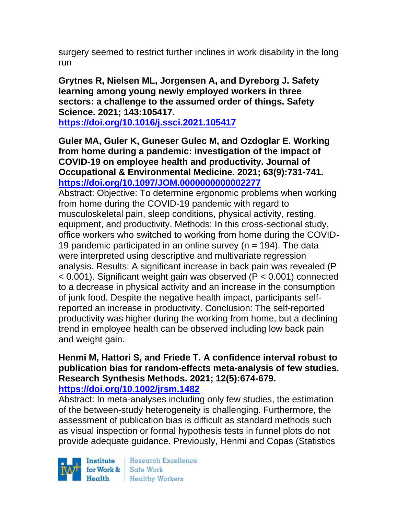surgery seemed to restrict further inclines in work disability in the long run

**Grytnes R, Nielsen ML, Jorgensen A, and Dyreborg J. Safety learning among young newly employed workers in three sectors: a challenge to the assumed order of things. Safety Science. 2021; 143:105417.**

**<https://doi.org/10.1016/j.ssci.2021.105417>** 

**Guler MA, Guler K, Guneser Gulec M, and Ozdoglar E. Working from home during a pandemic: investigation of the impact of COVID-19 on employee health and productivity. Journal of Occupational & Environmental Medicine. 2021; 63(9):731-741. <https://doi.org/10.1097/JOM.0000000000002277>** 

Abstract: Objective: To determine ergonomic problems when working from home during the COVID-19 pandemic with regard to musculoskeletal pain, sleep conditions, physical activity, resting, equipment, and productivity. Methods: In this cross-sectional study, office workers who switched to working from home during the COVID-19 pandemic participated in an online survey ( $n = 194$ ). The data were interpreted using descriptive and multivariate regression analysis. Results: A significant increase in back pain was revealed (P < 0.001). Significant weight gain was observed (P < 0.001) connected to a decrease in physical activity and an increase in the consumption of junk food. Despite the negative health impact, participants selfreported an increase in productivity. Conclusion: The self-reported productivity was higher during the working from home, but a declining trend in employee health can be observed including low back pain and weight gain.

#### **Henmi M, Hattori S, and Friede T. A confidence interval robust to publication bias for random-effects meta-analysis of few studies. Research Synthesis Methods. 2021; 12(5):674-679. <https://doi.org/10.1002/jrsm.1482>**

Abstract: In meta-analyses including only few studies, the estimation of the between-study heterogeneity is challenging. Furthermore, the assessment of publication bias is difficult as standard methods such as visual inspection or formal hypothesis tests in funnel plots do not provide adequate guidance. Previously, Henmi and Copas (Statistics

Institute Health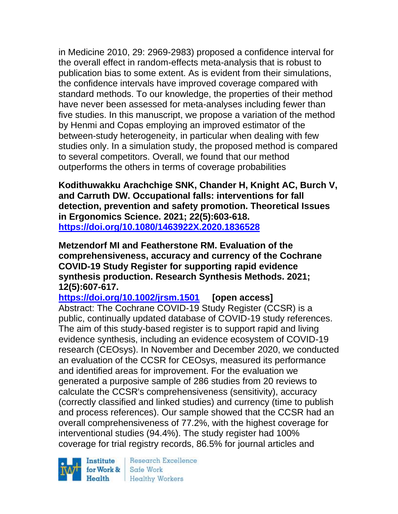in Medicine 2010, 29: 2969-2983) proposed a confidence interval for the overall effect in random-effects meta-analysis that is robust to publication bias to some extent. As is evident from their simulations, the confidence intervals have improved coverage compared with standard methods. To our knowledge, the properties of their method have never been assessed for meta-analyses including fewer than five studies. In this manuscript, we propose a variation of the method by Henmi and Copas employing an improved estimator of the between-study heterogeneity, in particular when dealing with few studies only. In a simulation study, the proposed method is compared to several competitors. Overall, we found that our method outperforms the others in terms of coverage probabilities

**Kodithuwakku Arachchige SNK, Chander H, Knight AC, Burch V, and Carruth DW. Occupational falls: interventions for fall detection, prevention and safety promotion. Theoretical Issues in Ergonomics Science. 2021; 22(5):603-618. <https://doi.org/10.1080/1463922X.2020.1836528>** 

**Metzendorf MI and Featherstone RM. Evaluation of the comprehensiveness, accuracy and currency of the Cochrane COVID-19 Study Register for supporting rapid evidence synthesis production. Research Synthesis Methods. 2021; 12(5):607-617.** 

**<https://doi.org/10.1002/jrsm.1501> [open access]** Abstract: The Cochrane COVID-19 Study Register (CCSR) is a public, continually updated database of COVID-19 study references. The aim of this study-based register is to support rapid and living evidence synthesis, including an evidence ecosystem of COVID-19 research (CEOsys). In November and December 2020, we conducted an evaluation of the CCSR for CEOsys, measured its performance and identified areas for improvement. For the evaluation we generated a purposive sample of 286 studies from 20 reviews to calculate the CCSR's comprehensiveness (sensitivity), accuracy (correctly classified and linked studies) and currency (time to publish and process references). Our sample showed that the CCSR had an overall comprehensiveness of 77.2%, with the highest coverage for interventional studies (94.4%). The study register had 100% coverage for trial registry records, 86.5% for journal articles and

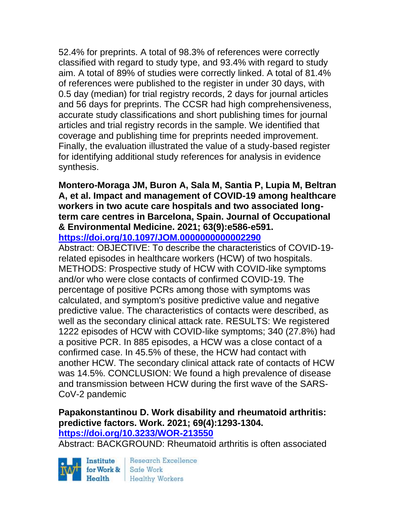52.4% for preprints. A total of 98.3% of references were correctly classified with regard to study type, and 93.4% with regard to study aim. A total of 89% of studies were correctly linked. A total of 81.4% of references were published to the register in under 30 days, with 0.5 day (median) for trial registry records, 2 days for journal articles and 56 days for preprints. The CCSR had high comprehensiveness, accurate study classifications and short publishing times for journal articles and trial registry records in the sample. We identified that coverage and publishing time for preprints needed improvement. Finally, the evaluation illustrated the value of a study-based register for identifying additional study references for analysis in evidence synthesis.

#### **Montero-Moraga JM, Buron A, Sala M, Santia P, Lupia M, Beltran A, et al. Impact and management of COVID-19 among healthcare workers in two acute care hospitals and two associated longterm care centres in Barcelona, Spain. Journal of Occupational & Environmental Medicine. 2021; 63(9):e586-e591. <https://doi.org/10.1097/JOM.0000000000002290>**

Abstract: OBJECTIVE: To describe the characteristics of COVID-19 related episodes in healthcare workers (HCW) of two hospitals. METHODS: Prospective study of HCW with COVID-like symptoms and/or who were close contacts of confirmed COVID-19. The percentage of positive PCRs among those with symptoms was calculated, and symptom's positive predictive value and negative predictive value. The characteristics of contacts were described, as well as the secondary clinical attack rate. RESULTS: We registered 1222 episodes of HCW with COVID-like symptoms; 340 (27.8%) had a positive PCR. In 885 episodes, a HCW was a close contact of a confirmed case. In 45.5% of these, the HCW had contact with another HCW. The secondary clinical attack rate of contacts of HCW was 14.5%. CONCLUSION: We found a high prevalence of disease and transmission between HCW during the first wave of the SARS-CoV-2 pandemic

#### **Papakonstantinou D. Work disability and rheumatoid arthritis: predictive factors. Work. 2021; 69(4):1293-1304. <https://doi.org/10.3233/WOR-213550>**

Abstract: BACKGROUND: Rheumatoid arthritis is often associated

Institute for Work & Safe Work

Research Excellence Health Healthy Workers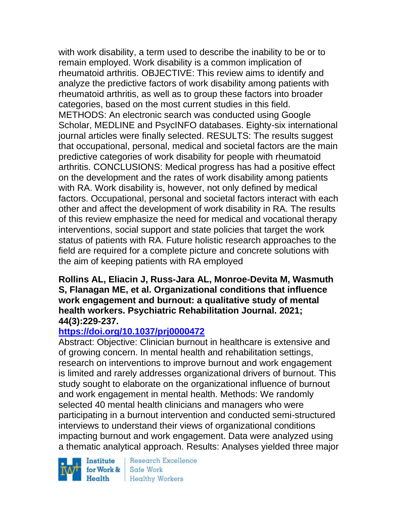with work disability, a term used to describe the inability to be or to remain employed. Work disability is a common implication of rheumatoid arthritis. OBJECTIVE: This review aims to identify and analyze the predictive factors of work disability among patients with rheumatoid arthritis, as well as to group these factors into broader categories, based on the most current studies in this field. METHODS: An electronic search was conducted using Google Scholar, MEDLINE and PsycINFO databases. Eighty-six international journal articles were finally selected. RESULTS: The results suggest that occupational, personal, medical and societal factors are the main predictive categories of work disability for people with rheumatoid arthritis. CONCLUSIONS: Medical progress has had a positive effect on the development and the rates of work disability among patients with RA. Work disability is, however, not only defined by medical factors. Occupational, personal and societal factors interact with each other and affect the development of work disability in RA. The results of this review emphasize the need for medical and vocational therapy interventions, social support and state policies that target the work status of patients with RA. Future holistic research approaches to the field are required for a complete picture and concrete solutions with the aim of keeping patients with RA employed

### **Rollins AL, Eliacin J, Russ-Jara AL, Monroe-Devita M, Wasmuth S, Flanagan ME, et al. Organizational conditions that influence work engagement and burnout: a qualitative study of mental health workers. Psychiatric Rehabilitation Journal. 2021; 44(3):229-237.**

## **<https://doi.org/10.1037/prj0000472>**

Abstract: Objective: Clinician burnout in healthcare is extensive and of growing concern. In mental health and rehabilitation settings, research on interventions to improve burnout and work engagement is limited and rarely addresses organizational drivers of burnout. This study sought to elaborate on the organizational influence of burnout and work engagement in mental health. Methods: We randomly selected 40 mental health clinicians and managers who were participating in a burnout intervention and conducted semi-structured interviews to understand their views of organizational conditions impacting burnout and work engagement. Data were analyzed using a thematic analytical approach. Results: Analyses yielded three major

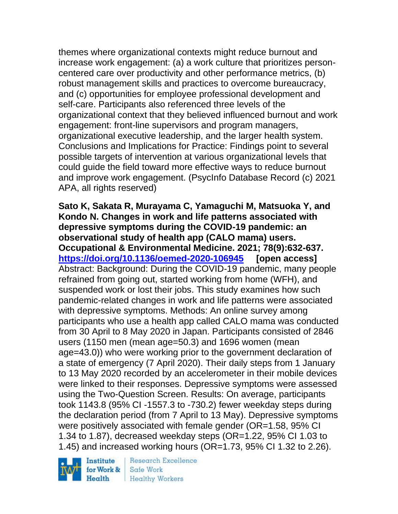themes where organizational contexts might reduce burnout and increase work engagement: (a) a work culture that prioritizes personcentered care over productivity and other performance metrics, (b) robust management skills and practices to overcome bureaucracy, and (c) opportunities for employee professional development and self-care. Participants also referenced three levels of the organizational context that they believed influenced burnout and work engagement: front-line supervisors and program managers, organizational executive leadership, and the larger health system. Conclusions and Implications for Practice: Findings point to several possible targets of intervention at various organizational levels that could guide the field toward more effective ways to reduce burnout and improve work engagement. (PsycInfo Database Record (c) 2021 APA, all rights reserved)

**Sato K, Sakata R, Murayama C, Yamaguchi M, Matsuoka Y, and Kondo N. Changes in work and life patterns associated with depressive symptoms during the COVID-19 pandemic: an observational study of health app (CALO mama) users. Occupational & Environmental Medicine. 2021; 78(9):632-637. <https://doi.org/10.1136/oemed-2020-106945> [open access]** Abstract: Background: During the COVID-19 pandemic, many people refrained from going out, started working from home (WFH), and suspended work or lost their jobs. This study examines how such pandemic-related changes in work and life patterns were associated with depressive symptoms. Methods: An online survey among participants who use a health app called CALO mama was conducted from 30 April to 8 May 2020 in Japan. Participants consisted of 2846 users (1150 men (mean age=50.3) and 1696 women (mean age=43.0)) who were working prior to the government declaration of a state of emergency (7 April 2020). Their daily steps from 1 January to 13 May 2020 recorded by an accelerometer in their mobile devices were linked to their responses. Depressive symptoms were assessed using the Two-Question Screen. Results: On average, participants took 1143.8 (95% CI -1557.3 to -730.2) fewer weekday steps during the declaration period (from 7 April to 13 May). Depressive symptoms were positively associated with female gender (OR=1.58, 95% CI 1.34 to 1.87), decreased weekday steps (OR=1.22, 95% CI 1.03 to 1.45) and increased working hours (OR=1.73, 95% CI 1.32 to 2.26).

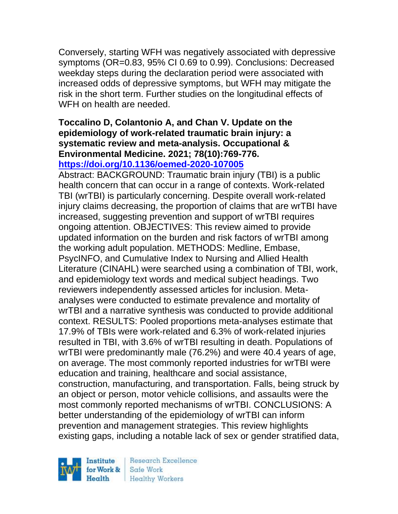Conversely, starting WFH was negatively associated with depressive symptoms (OR=0.83, 95% CI 0.69 to 0.99). Conclusions: Decreased weekday steps during the declaration period were associated with increased odds of depressive symptoms, but WFH may mitigate the risk in the short term. Further studies on the longitudinal effects of WFH on health are needed.

#### **Toccalino D, Colantonio A, and Chan V. Update on the epidemiology of work-related traumatic brain injury: a systematic review and meta-analysis. Occupational & Environmental Medicine. 2021; 78(10):769-776. <https://doi.org/10.1136/oemed-2020-107005>**

Abstract: BACKGROUND: Traumatic brain injury (TBI) is a public health concern that can occur in a range of contexts. Work-related TBI (wrTBI) is particularly concerning. Despite overall work-related injury claims decreasing, the proportion of claims that are wrTBI have increased, suggesting prevention and support of wrTBI requires ongoing attention. OBJECTIVES: This review aimed to provide updated information on the burden and risk factors of wrTBI among the working adult population. METHODS: Medline, Embase, PsycINFO, and Cumulative Index to Nursing and Allied Health Literature (CINAHL) were searched using a combination of TBI, work, and epidemiology text words and medical subject headings. Two reviewers independently assessed articles for inclusion. Metaanalyses were conducted to estimate prevalence and mortality of wrTBI and a narrative synthesis was conducted to provide additional context. RESULTS: Pooled proportions meta-analyses estimate that 17.9% of TBIs were work-related and 6.3% of work-related injuries resulted in TBI, with 3.6% of wrTBI resulting in death. Populations of wrTBI were predominantly male (76.2%) and were 40.4 years of age, on average. The most commonly reported industries for wrTBI were education and training, healthcare and social assistance, construction, manufacturing, and transportation. Falls, being struck by an object or person, motor vehicle collisions, and assaults were the most commonly reported mechanisms of wrTBI. CONCLUSIONS: A better understanding of the epidemiology of wrTBI can inform prevention and management strategies. This review highlights existing gaps, including a notable lack of sex or gender stratified data,

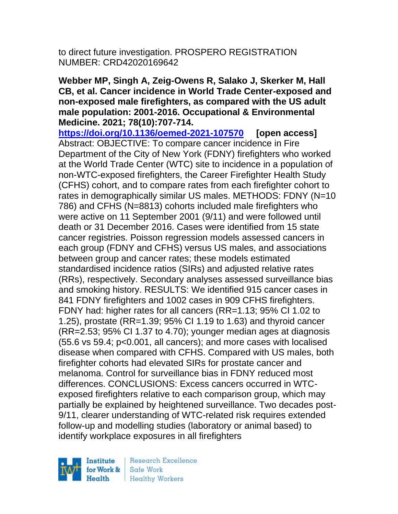to direct future investigation. PROSPERO REGISTRATION NUMBER: CRD42020169642

**Webber MP, Singh A, Zeig-Owens R, Salako J, Skerker M, Hall CB, et al. Cancer incidence in World Trade Center-exposed and non-exposed male firefighters, as compared with the US adult male population: 2001-2016. Occupational & Environmental Medicine. 2021; 78(10):707-714.** 

**<https://doi.org/10.1136/oemed-2021-107570> [open access]** Abstract: OBJECTIVE: To compare cancer incidence in Fire Department of the City of New York (FDNY) firefighters who worked at the World Trade Center (WTC) site to incidence in a population of non-WTC-exposed firefighters, the Career Firefighter Health Study (CFHS) cohort, and to compare rates from each firefighter cohort to rates in demographically similar US males. METHODS: FDNY (N=10) 786) and CFHS (N=8813) cohorts included male firefighters who were active on 11 September 2001 (9/11) and were followed until death or 31 December 2016. Cases were identified from 15 state cancer registries. Poisson regression models assessed cancers in each group (FDNY and CFHS) versus US males, and associations between group and cancer rates; these models estimated standardised incidence ratios (SIRs) and adjusted relative rates (RRs), respectively. Secondary analyses assessed surveillance bias and smoking history. RESULTS: We identified 915 cancer cases in 841 FDNY firefighters and 1002 cases in 909 CFHS firefighters. FDNY had: higher rates for all cancers (RR=1.13; 95% CI 1.02 to 1.25), prostate (RR=1.39; 95% CI 1.19 to 1.63) and thyroid cancer (RR=2.53; 95% CI 1.37 to 4.70); younger median ages at diagnosis (55.6 vs 59.4; p<0.001, all cancers); and more cases with localised disease when compared with CFHS. Compared with US males, both firefighter cohorts had elevated SIRs for prostate cancer and melanoma. Control for surveillance bias in FDNY reduced most differences. CONCLUSIONS: Excess cancers occurred in WTCexposed firefighters relative to each comparison group, which may partially be explained by heightened surveillance. Two decades post-9/11, clearer understanding of WTC-related risk requires extended follow-up and modelling studies (laboratory or animal based) to identify workplace exposures in all firefighters